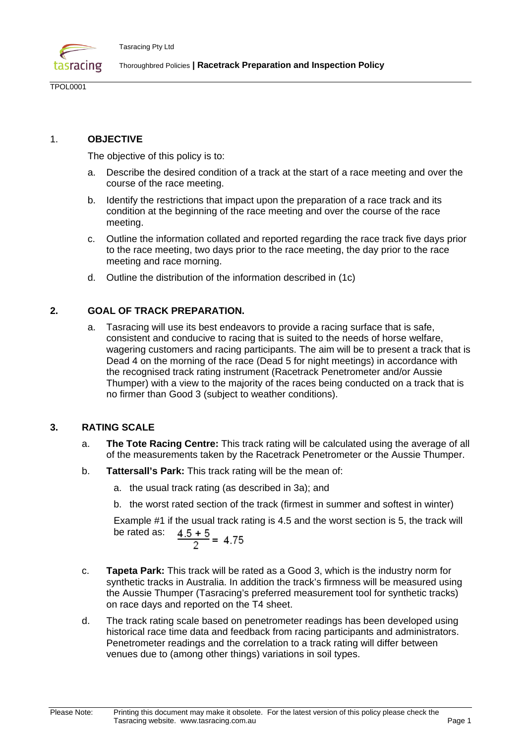

Thoroughbred Policies **| Racetrack Preparation and Inspection Policy** 

TPOL0001

## 1. **OBJECTIVE**

The objective of this policy is to:

- a. Describe the desired condition of a track at the start of a race meeting and over the course of the race meeting.
- b. Identify the restrictions that impact upon the preparation of a race track and its condition at the beginning of the race meeting and over the course of the race meeting.
- c. Outline the information collated and reported regarding the race track five days prior to the race meeting, two days prior to the race meeting, the day prior to the race meeting and race morning.
- d. Outline the distribution of the information described in (1c)

## **2. GOAL OF TRACK PREPARATION.**

a. Tasracing will use its best endeavors to provide a racing surface that is safe, consistent and conducive to racing that is suited to the needs of horse welfare, wagering customers and racing participants. The aim will be to present a track that is Dead 4 on the morning of the race (Dead 5 for night meetings) in accordance with the recognised track rating instrument (Racetrack Penetrometer and/or Aussie Thumper) with a view to the majority of the races being conducted on a track that is no firmer than Good 3 (subject to weather conditions).

# **3. RATING SCALE**

- a. **The Tote Racing Centre:** This track rating will be calculated using the average of all of the measurements taken by the Racetrack Penetrometer or the Aussie Thumper.
- b. **Tattersall's Park:** This track rating will be the mean of:
	- a. the usual track rating (as described in 3a); and
	- b. the worst rated section of the track (firmest in summer and softest in winter)

Example #1 if the usual track rating is 4.5 and the worst section is 5, the track will be rated as:  $A E + E$ 

$$
\frac{4.5 + 3}{2} = 4.75
$$

- c. **Tapeta Park:** This track will be rated as a Good 3, which is the industry norm for synthetic tracks in Australia. In addition the track's firmness will be measured using the Aussie Thumper (Tasracing's preferred measurement tool for synthetic tracks) on race days and reported on the T4 sheet.
- d. The track rating scale based on penetrometer readings has been developed using historical race time data and feedback from racing participants and administrators. Penetrometer readings and the correlation to a track rating will differ between venues due to (among other things) variations in soil types.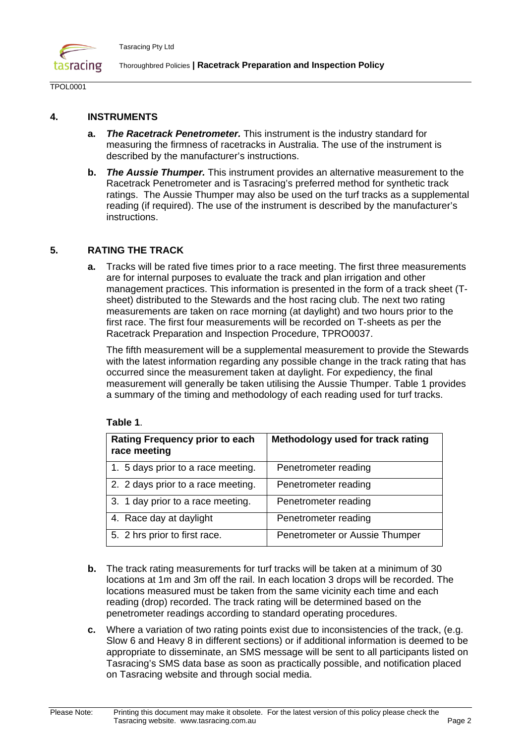

TPOL0001

#### **4. INSTRUMENTS**

- **a.** *The Racetrack Penetrometer.* This instrument is the industry standard for measuring the firmness of racetracks in Australia. The use of the instrument is described by the manufacturer's instructions.
- **b.** *The Aussie Thumper.* This instrument provides an alternative measurement to the Racetrack Penetrometer and is Tasracing's preferred method for synthetic track ratings. The Aussie Thumper may also be used on the turf tracks as a supplemental reading (if required). The use of the instrument is described by the manufacturer's instructions.

#### **5. RATING THE TRACK**

**a.** Tracks will be rated five times prior to a race meeting. The first three measurements are for internal purposes to evaluate the track and plan irrigation and other management practices. This information is presented in the form of a track sheet (Tsheet) distributed to the Stewards and the host racing club. The next two rating measurements are taken on race morning (at daylight) and two hours prior to the first race. The first four measurements will be recorded on T-sheets as per the Racetrack Preparation and Inspection Procedure, TPRO0037.

The fifth measurement will be a supplemental measurement to provide the Stewards with the latest information regarding any possible change in the track rating that has occurred since the measurement taken at daylight. For expediency, the final measurement will generally be taken utilising the Aussie Thumper. Table 1 provides a summary of the timing and methodology of each reading used for turf tracks.

| <b>Rating Frequency prior to each</b><br>race meeting | Methodology used for track rating |
|-------------------------------------------------------|-----------------------------------|
| 1. 5 days prior to a race meeting.                    | Penetrometer reading              |
| 2. 2 days prior to a race meeting.                    | Penetrometer reading              |
| 3. 1 day prior to a race meeting.                     | Penetrometer reading              |
| 4. Race day at daylight                               | Penetrometer reading              |
| 5. 2 hrs prior to first race.                         | Penetrometer or Aussie Thumper    |

### **Table 1**.

- **b.** The track rating measurements for turf tracks will be taken at a minimum of 30 locations at 1m and 3m off the rail. In each location 3 drops will be recorded. The locations measured must be taken from the same vicinity each time and each reading (drop) recorded. The track rating will be determined based on the penetrometer readings according to standard operating procedures.
- **c.** Where a variation of two rating points exist due to inconsistencies of the track, (e.g. Slow 6 and Heavy 8 in different sections) or if additional information is deemed to be appropriate to disseminate, an SMS message will be sent to all participants listed on Tasracing's SMS data base as soon as practically possible, and notification placed on Tasracing website and through social media.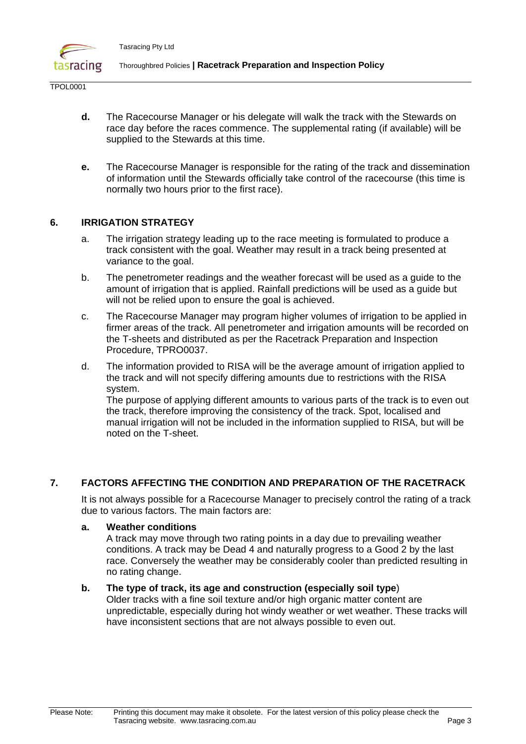

Thoroughbred Policies **| Racetrack Preparation and Inspection Policy** 

TPOL0001

- **d.** The Racecourse Manager or his delegate will walk the track with the Stewards on race day before the races commence. The supplemental rating (if available) will be supplied to the Stewards at this time.
- **e.** The Racecourse Manager is responsible for the rating of the track and dissemination of information until the Stewards officially take control of the racecourse (this time is normally two hours prior to the first race).

### **6. IRRIGATION STRATEGY**

- a. The irrigation strategy leading up to the race meeting is formulated to produce a track consistent with the goal. Weather may result in a track being presented at variance to the goal.
- b. The penetrometer readings and the weather forecast will be used as a guide to the amount of irrigation that is applied. Rainfall predictions will be used as a guide but will not be relied upon to ensure the goal is achieved.
- c. The Racecourse Manager may program higher volumes of irrigation to be applied in firmer areas of the track. All penetrometer and irrigation amounts will be recorded on the T-sheets and distributed as per the Racetrack Preparation and Inspection Procedure, TPRO0037.
- d. The information provided to RISA will be the average amount of irrigation applied to the track and will not specify differing amounts due to restrictions with the RISA system.

The purpose of applying different amounts to various parts of the track is to even out the track, therefore improving the consistency of the track. Spot, localised and manual irrigation will not be included in the information supplied to RISA, but will be noted on the T-sheet.

### **7. FACTORS AFFECTING THE CONDITION AND PREPARATION OF THE RACETRACK**

It is not always possible for a Racecourse Manager to precisely control the rating of a track due to various factors. The main factors are:

### **a. Weather conditions**

A track may move through two rating points in a day due to prevailing weather conditions. A track may be Dead 4 and naturally progress to a Good 2 by the last race. Conversely the weather may be considerably cooler than predicted resulting in no rating change.

### **b. The type of track, its age and construction (especially soil type**)

Older tracks with a fine soil texture and/or high organic matter content are unpredictable, especially during hot windy weather or wet weather. These tracks will have inconsistent sections that are not always possible to even out.